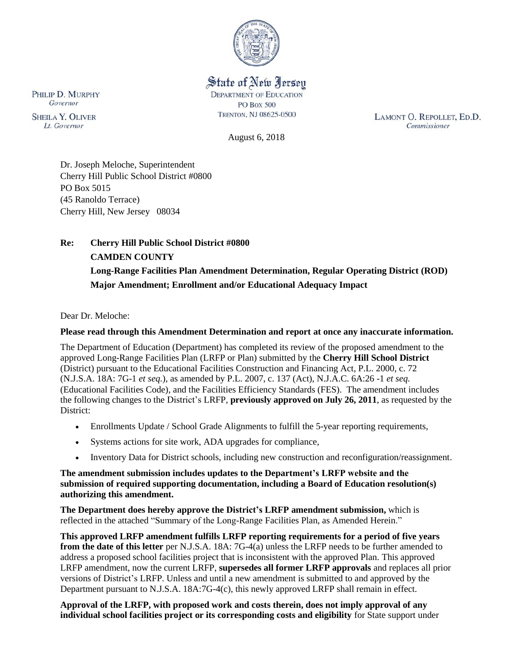

State of New Jersey **DEPARTMENT OF EDUCATION PO Box 500** 

TRENTON, NJ 08625-0500

LAMONT O. REPOLLET, ED.D. Commissioner

August 6, 2018

Dr. Joseph Meloche, Superintendent Cherry Hill Public School District #0800 PO Box 5015 (45 Ranoldo Terrace) Cherry Hill, New Jersey 08034

# **Re: Cherry Hill Public School District #0800 CAMDEN COUNTY Long-Range Facilities Plan Amendment Determination, Regular Operating District (ROD) Major Amendment; Enrollment and/or Educational Adequacy Impact**

Dear Dr. Meloche:

## **Please read through this Amendment Determination and report at once any inaccurate information.**

The Department of Education (Department) has completed its review of the proposed amendment to the approved Long-Range Facilities Plan (LRFP or Plan) submitted by the **Cherry Hill School District** (District) pursuant to the Educational Facilities Construction and Financing Act, P.L. 2000, c. 72 (N.J.S.A. 18A: 7G-1 *et seq.*), as amended by P.L. 2007, c. 137 (Act), N.J.A.C. 6A:26 -1 *et seq.* (Educational Facilities Code), and the Facilities Efficiency Standards (FES). The amendment includes the following changes to the District's LRFP, **previously approved on July 26, 2011**, as requested by the District:

- Enrollments Update / School Grade Alignments to fulfill the 5-year reporting requirements,
- Systems actions for site work, ADA upgrades for compliance,
- Inventory Data for District schools, including new construction and reconfiguration/reassignment.

#### **The amendment submission includes updates to the Department's LRFP website and the submission of required supporting documentation, including a Board of Education resolution(s) authorizing this amendment.**

**The Department does hereby approve the District's LRFP amendment submission,** which is reflected in the attached "Summary of the Long-Range Facilities Plan, as Amended Herein."

**This approved LRFP amendment fulfills LRFP reporting requirements for a period of five years from the date of this letter** per N.J.S.A. 18A: 7G-4(a) unless the LRFP needs to be further amended to address a proposed school facilities project that is inconsistent with the approved Plan. This approved LRFP amendment, now the current LRFP, **supersedes all former LRFP approvals** and replaces all prior versions of District's LRFP. Unless and until a new amendment is submitted to and approved by the Department pursuant to N.J.S.A. 18A:7G-4(c), this newly approved LRFP shall remain in effect.

**Approval of the LRFP, with proposed work and costs therein, does not imply approval of any individual school facilities project or its corresponding costs and eligibility** for State support under

PHILIP D. MURPHY Governor

**SHEILA Y. OLIVER** Lt. Governor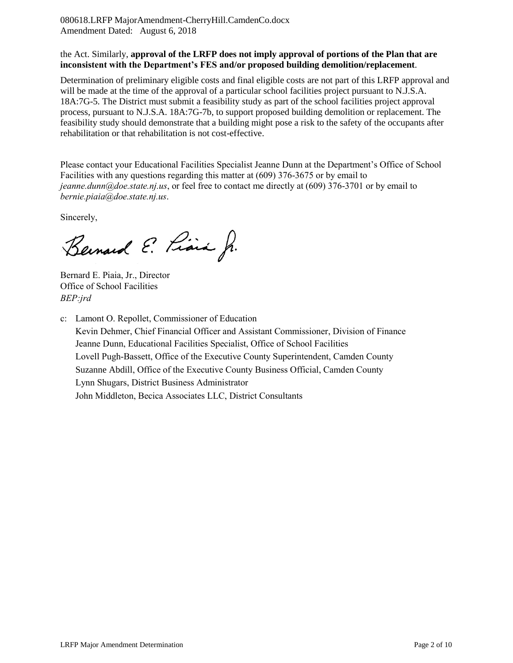080618.LRFP MajorAmendment-CherryHill.CamdenCo.docx Amendment Dated: August 6, 2018

#### the Act. Similarly, **approval of the LRFP does not imply approval of portions of the Plan that are inconsistent with the Department's FES and/or proposed building demolition/replacement**.

Determination of preliminary eligible costs and final eligible costs are not part of this LRFP approval and will be made at the time of the approval of a particular school facilities project pursuant to N.J.S.A. 18A:7G-5. The District must submit a feasibility study as part of the school facilities project approval process, pursuant to N.J.S.A. 18A:7G-7b, to support proposed building demolition or replacement. The feasibility study should demonstrate that a building might pose a risk to the safety of the occupants after rehabilitation or that rehabilitation is not cost-effective.

Please contact your Educational Facilities Specialist Jeanne Dunn at the Department's Office of School Facilities with any questions regarding this matter at (609) 376-3675 or by email to *jeanne.dunn@doe.state.nj.us*, or feel free to contact me directly at (609) 376-3701 or by email to *bernie.piaia@doe.state.nj.us*.

Sincerely,

Bernard E. Piara Jr.

Bernard E. Piaia, Jr., Director Office of School Facilities *BEP:jrd*

c: Lamont O. Repollet, Commissioner of Education Kevin Dehmer, Chief Financial Officer and Assistant Commissioner, Division of Finance Jeanne Dunn, Educational Facilities Specialist, Office of School Facilities Lovell Pugh-Bassett, Office of the Executive County Superintendent, Camden County Suzanne Abdill, Office of the Executive County Business Official, Camden County Lynn Shugars, District Business Administrator John Middleton, Becica Associates LLC, District Consultants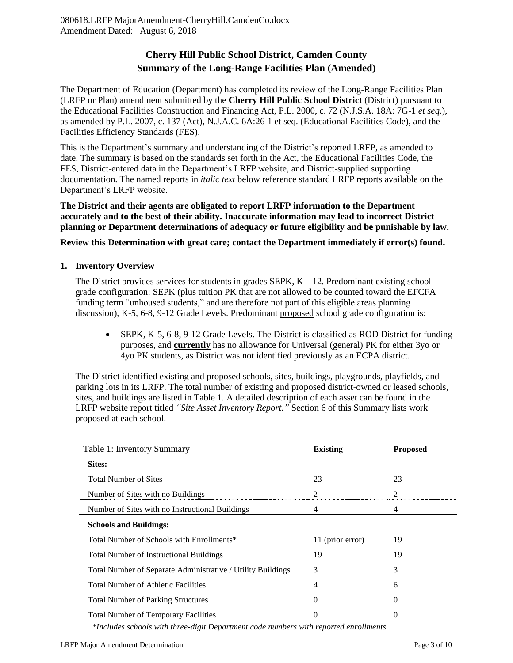## **Cherry Hill Public School District, Camden County Summary of the Long-Range Facilities Plan (Amended)**

The Department of Education (Department) has completed its review of the Long-Range Facilities Plan (LRFP or Plan) amendment submitted by the **Cherry Hill Public School District** (District) pursuant to the Educational Facilities Construction and Financing Act, P.L. 2000, c. 72 (N.J.S.A. 18A: 7G-1 *et seq.*), as amended by P.L. 2007, c. 137 (Act), N.J.A.C. 6A:26-1 et seq. (Educational Facilities Code), and the Facilities Efficiency Standards (FES).

This is the Department's summary and understanding of the District's reported LRFP, as amended to date. The summary is based on the standards set forth in the Act, the Educational Facilities Code, the FES, District-entered data in the Department's LRFP website, and District-supplied supporting documentation. The named reports in *italic text* below reference standard LRFP reports available on the Department's LRFP website.

**The District and their agents are obligated to report LRFP information to the Department accurately and to the best of their ability. Inaccurate information may lead to incorrect District planning or Department determinations of adequacy or future eligibility and be punishable by law.** 

**Review this Determination with great care; contact the Department immediately if error(s) found.**

#### **1. Inventory Overview**

The District provides services for students in grades  $SEPK$ ,  $K - 12$ . Predominant existing school grade configuration: SEPK (plus tuition PK that are not allowed to be counted toward the EFCFA funding term "unhoused students," and are therefore not part of this eligible areas planning discussion), K-5, 6-8, 9-12 Grade Levels. Predominant proposed school grade configuration is:

 SEPK, K-5, 6-8, 9-12 Grade Levels. The District is classified as ROD District for funding purposes, and **currently** has no allowance for Universal (general) PK for either 3yo or 4yo PK students, as District was not identified previously as an ECPA district.

The District identified existing and proposed schools, sites, buildings, playgrounds, playfields, and parking lots in its LRFP. The total number of existing and proposed district-owned or leased schools, sites, and buildings are listed in Table 1. A detailed description of each asset can be found in the LRFP website report titled *"Site Asset Inventory Report."* Section 6 of this Summary lists work proposed at each school.

| Table 1: Inventory Summary                                  | <b>Existing</b>  | <b>Proposed</b> |
|-------------------------------------------------------------|------------------|-----------------|
| Sites:                                                      |                  |                 |
| <b>Total Number of Sites</b>                                | 23               | 23              |
| Number of Sites with no Buildings                           | 2                | 2               |
| Number of Sites with no Instructional Buildings             | $\overline{4}$   | 4               |
| <b>Schools and Buildings:</b>                               |                  |                 |
| Total Number of Schools with Enrollments*                   | 11 (prior error) | 19              |
| Total Number of Instructional Buildings                     | 19               | 19              |
| Total Number of Separate Administrative / Utility Buildings | $\mathcal{F}$    | 3               |
| <b>Total Number of Athletic Facilities</b>                  | $\overline{4}$   | 6               |
| <b>Total Number of Parking Structures</b>                   | $\Omega$         | $\theta$        |
| <b>Total Number of Temporary Facilities</b>                 | $\Omega$         | $\theta$        |

 *\*Includes schools with three-digit Department code numbers with reported enrollments.*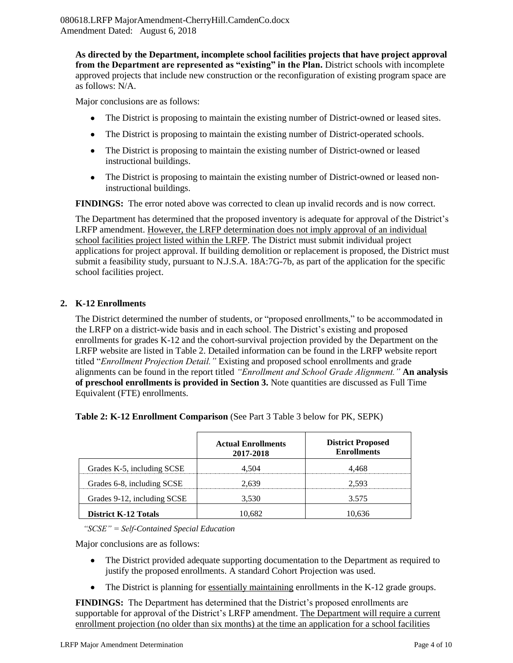**As directed by the Department, incomplete school facilities projects that have project approval from the Department are represented as "existing" in the Plan.** District schools with incomplete approved projects that include new construction or the reconfiguration of existing program space are as follows: N/A.

Major conclusions are as follows:

- The District is proposing to maintain the existing number of District-owned or leased sites.
- The District is proposing to maintain the existing number of District-operated schools.
- The District is proposing to maintain the existing number of District-owned or leased instructional buildings.
- The District is proposing to maintain the existing number of District-owned or leased noninstructional buildings.

**FINDINGS:** The error noted above was corrected to clean up invalid records and is now correct.

The Department has determined that the proposed inventory is adequate for approval of the District's LRFP amendment. However, the LRFP determination does not imply approval of an individual school facilities project listed within the LRFP. The District must submit individual project applications for project approval. If building demolition or replacement is proposed, the District must submit a feasibility study, pursuant to N.J.S.A. 18A:7G-7b, as part of the application for the specific school facilities project.

## **2. K-12 Enrollments**

The District determined the number of students, or "proposed enrollments," to be accommodated in the LRFP on a district-wide basis and in each school. The District's existing and proposed enrollments for grades K-12 and the cohort-survival projection provided by the Department on the LRFP website are listed in Table 2. Detailed information can be found in the LRFP website report titled "*Enrollment Projection Detail."* Existing and proposed school enrollments and grade alignments can be found in the report titled *"Enrollment and School Grade Alignment."* **An analysis of preschool enrollments is provided in Section 3.** Note quantities are discussed as Full Time Equivalent (FTE) enrollments.

|                             | <b>Actual Enrollments</b><br>2017-2018 | <b>District Proposed</b><br><b>Enrollments</b> |
|-----------------------------|----------------------------------------|------------------------------------------------|
| Grades K-5, including SCSE  | 4.504                                  | 4.468                                          |
| Grades 6-8, including SCSE  | 2.639                                  | 2.593                                          |
| Grades 9-12, including SCSE | 3,530                                  | 3.575                                          |
| <b>District K-12 Totals</b> | 10.682                                 | 10 636                                         |

**Table 2: K-12 Enrollment Comparison** (See Part 3 Table 3 below for PK, SEPK)

*"SCSE" = Self-Contained Special Education*

Major conclusions are as follows:

- The District provided adequate supporting documentation to the Department as required to justify the proposed enrollments. A standard Cohort Projection was used.
- The District is planning for essentially maintaining enrollments in the K-12 grade groups.

**FINDINGS:** The Department has determined that the District's proposed enrollments are supportable for approval of the District's LRFP amendment. The Department will require a current enrollment projection (no older than six months) at the time an application for a school facilities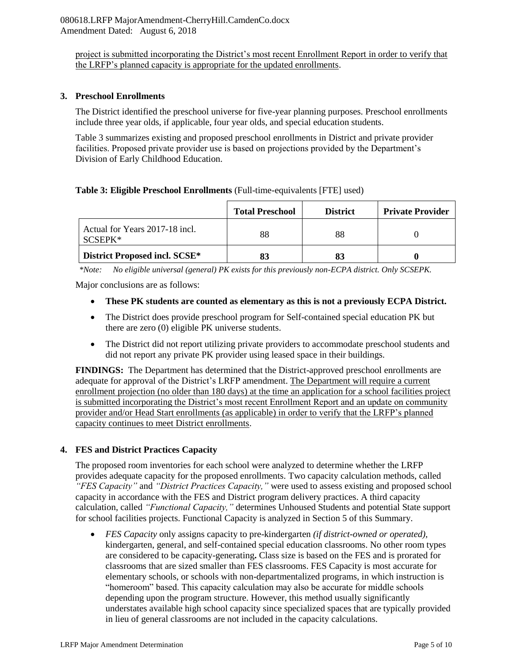project is submitted incorporating the District's most recent Enrollment Report in order to verify that the LRFP's planned capacity is appropriate for the updated enrollments.

#### **3. Preschool Enrollments**

The District identified the preschool universe for five-year planning purposes. Preschool enrollments include three year olds, if applicable, four year olds, and special education students.

Table 3 summarizes existing and proposed preschool enrollments in District and private provider facilities. Proposed private provider use is based on projections provided by the Department's Division of Early Childhood Education.

#### **Table 3: Eligible Preschool Enrollments** (Full-time-equivalents [FTE] used)

|                                             | <b>Total Preschool</b> | <b>District</b> | <b>Private Provider</b> |
|---------------------------------------------|------------------------|-----------------|-------------------------|
| Actual for Years 2017-18 incl.<br>$SCSEPK*$ | 88                     | 88              |                         |
| District Proposed incl. SCSE*               |                        |                 |                         |

*\*Note: No eligible universal (general) PK exists for this previously non-ECPA district. Only SCSEPK.*

Major conclusions are as follows:

- **These PK students are counted as elementary as this is not a previously ECPA District.**
- The District does provide preschool program for Self-contained special education PK but there are zero (0) eligible PK universe students.
- The District did not report utilizing private providers to accommodate preschool students and did not report any private PK provider using leased space in their buildings.

**FINDINGS:** The Department has determined that the District-approved preschool enrollments are adequate for approval of the District's LRFP amendment. The Department will require a current enrollment projection (no older than 180 days) at the time an application for a school facilities project is submitted incorporating the District's most recent Enrollment Report and an update on community provider and/or Head Start enrollments (as applicable) in order to verify that the LRFP's planned capacity continues to meet District enrollments.

## **4. FES and District Practices Capacity**

The proposed room inventories for each school were analyzed to determine whether the LRFP provides adequate capacity for the proposed enrollments. Two capacity calculation methods, called *"FES Capacity"* and *"District Practices Capacity,"* were used to assess existing and proposed school capacity in accordance with the FES and District program delivery practices. A third capacity calculation, called *"Functional Capacity,"* determines Unhoused Students and potential State support for school facilities projects. Functional Capacity is analyzed in Section 5 of this Summary.

 *FES Capacity* only assigns capacity to pre-kindergarten *(if district-owned or operated),* kindergarten, general, and self-contained special education classrooms. No other room types are considered to be capacity-generating**.** Class size is based on the FES and is prorated for classrooms that are sized smaller than FES classrooms. FES Capacity is most accurate for elementary schools, or schools with non-departmentalized programs, in which instruction is "homeroom" based. This capacity calculation may also be accurate for middle schools depending upon the program structure. However, this method usually significantly understates available high school capacity since specialized spaces that are typically provided in lieu of general classrooms are not included in the capacity calculations.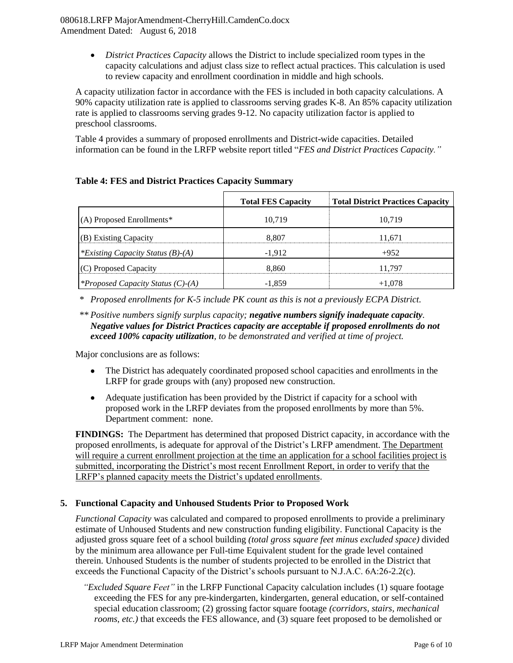*District Practices Capacity* allows the District to include specialized room types in the capacity calculations and adjust class size to reflect actual practices. This calculation is used to review capacity and enrollment coordination in middle and high schools.

A capacity utilization factor in accordance with the FES is included in both capacity calculations. A 90% capacity utilization rate is applied to classrooms serving grades K-8. An 85% capacity utilization rate is applied to classrooms serving grades 9-12. No capacity utilization factor is applied to preschool classrooms.

Table 4 provides a summary of proposed enrollments and District-wide capacities. Detailed information can be found in the LRFP website report titled "*FES and District Practices Capacity."*

|                                          | <b>Total FES Capacity</b> | <b>Total District Practices Capacity</b> |
|------------------------------------------|---------------------------|------------------------------------------|
| (A) Proposed Enrollments*                | 10.719                    | 10,719                                   |
| (B) Existing Capacity                    | 8.807                     | 11,671                                   |
| *Existing Capacity Status $(B)$ - $(A)$  | $-1.912$                  | $+952$                                   |
| (C) Proposed Capacity                    | 8.860                     | 11.797                                   |
| <i>*Proposed Capacity Status (C)-(A)</i> | $-1.859$                  | $+1,078$                                 |

## **Table 4: FES and District Practices Capacity Summary**

*\* Proposed enrollments for K-5 include PK count as this is not a previously ECPA District.*

## *\*\* Positive numbers signify surplus capacity; negative numbers signify inadequate capacity. Negative values for District Practices capacity are acceptable if proposed enrollments do not exceed 100% capacity utilization, to be demonstrated and verified at time of project.*

Major conclusions are as follows:

- The District has adequately coordinated proposed school capacities and enrollments in the LRFP for grade groups with (any) proposed new construction.
- Adequate justification has been provided by the District if capacity for a school with proposed work in the LRFP deviates from the proposed enrollments by more than 5%. Department comment: none.

**FINDINGS:** The Department has determined that proposed District capacity, in accordance with the proposed enrollments, is adequate for approval of the District's LRFP amendment. The Department will require a current enrollment projection at the time an application for a school facilities project is submitted, incorporating the District's most recent Enrollment Report, in order to verify that the LRFP's planned capacity meets the District's updated enrollments.

## **5. Functional Capacity and Unhoused Students Prior to Proposed Work**

*Functional Capacity* was calculated and compared to proposed enrollments to provide a preliminary estimate of Unhoused Students and new construction funding eligibility. Functional Capacity is the adjusted gross square feet of a school building *(total gross square feet minus excluded space)* divided by the minimum area allowance per Full-time Equivalent student for the grade level contained therein. Unhoused Students is the number of students projected to be enrolled in the District that exceeds the Functional Capacity of the District's schools pursuant to N.J.A.C. 6A:26-2.2(c).

*"Excluded Square Feet"* in the LRFP Functional Capacity calculation includes (1) square footage exceeding the FES for any pre-kindergarten, kindergarten, general education, or self-contained special education classroom; (2) grossing factor square footage *(corridors, stairs, mechanical rooms, etc.*) that exceeds the FES allowance, and (3) square feet proposed to be demolished or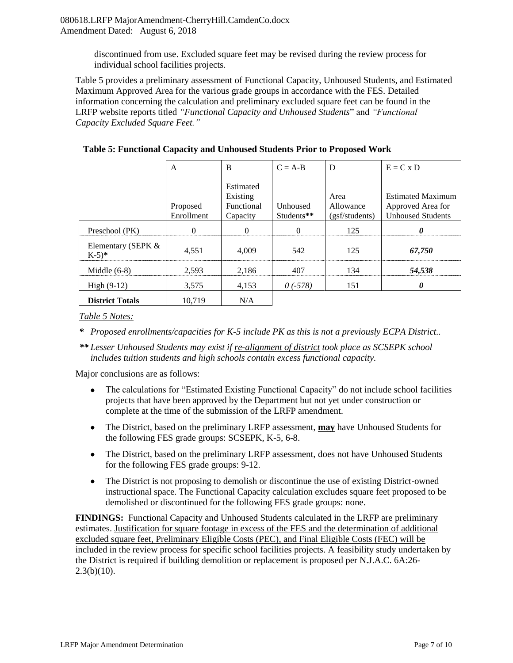discontinued from use. Excluded square feet may be revised during the review process for individual school facilities projects.

Table 5 provides a preliminary assessment of Functional Capacity, Unhoused Students, and Estimated Maximum Approved Area for the various grade groups in accordance with the FES. Detailed information concerning the calculation and preliminary excluded square feet can be found in the LRFP website reports titled *"Functional Capacity and Unhoused Students*" and *"Functional Capacity Excluded Square Feet."*

|                                          | A                      | B                                               | $C = A-B$                     | D                                   | $E = C x D$                                                               |
|------------------------------------------|------------------------|-------------------------------------------------|-------------------------------|-------------------------------------|---------------------------------------------------------------------------|
|                                          | Proposed<br>Enrollment | Estimated<br>Existing<br>Functional<br>Capacity | <b>Unhoused</b><br>Students** | Area<br>Allowance<br>(gsf/students) | <b>Estimated Maximum</b><br>Approved Area for<br><b>Unhoused Students</b> |
| Preschool (PK)                           | $\Omega$               | $\Omega$                                        | $\Omega$                      | 125                                 | 0                                                                         |
| Elementary (SEPK &<br>$K-5$ <sup>*</sup> | 4,551                  | 4.009                                           | 542                           | 125                                 | 67,750                                                                    |
| Middle $(6-8)$                           | 2,593                  | 2,186                                           | 407                           | 134                                 | 54,538                                                                    |
| High $(9-12)$                            | 3,575                  | 4,153                                           | $0$ (-578)                    | 151                                 | 0                                                                         |
| <b>District Totals</b>                   | 10.719                 | N/A                                             |                               |                                     |                                                                           |

**Table 5: Functional Capacity and Unhoused Students Prior to Proposed Work**

*Table 5 Notes:*

*\* Proposed enrollments/capacities for K-5 include PK as this is not a previously ECPA District..*

*\*\* Lesser Unhoused Students may exist if re-alignment of district took place as SCSEPK school includes tuition students and high schools contain excess functional capacity.* 

Major conclusions are as follows:

- The calculations for "Estimated Existing Functional Capacity" do not include school facilities projects that have been approved by the Department but not yet under construction or complete at the time of the submission of the LRFP amendment.
- The District, based on the preliminary LRFP assessment, **may** have Unhoused Students for the following FES grade groups: SCSEPK, K-5, 6-8.
- The District, based on the preliminary LRFP assessment, does not have Unhoused Students for the following FES grade groups: 9-12.
- The District is not proposing to demolish or discontinue the use of existing District-owned instructional space. The Functional Capacity calculation excludes square feet proposed to be demolished or discontinued for the following FES grade groups: none.

**FINDINGS:** Functional Capacity and Unhoused Students calculated in the LRFP are preliminary estimates. Justification for square footage in excess of the FES and the determination of additional excluded square feet, Preliminary Eligible Costs (PEC), and Final Eligible Costs (FEC) will be included in the review process for specific school facilities projects. A feasibility study undertaken by the District is required if building demolition or replacement is proposed per N.J.A.C. 6A:26-  $2.3(b)(10)$ .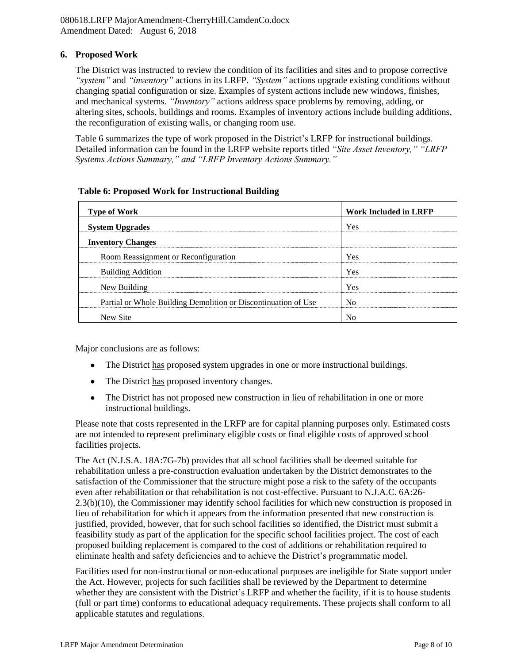#### **6. Proposed Work**

The District was instructed to review the condition of its facilities and sites and to propose corrective *"system"* and *"inventory"* actions in its LRFP. *"System"* actions upgrade existing conditions without changing spatial configuration or size. Examples of system actions include new windows, finishes, and mechanical systems. *"Inventory"* actions address space problems by removing, adding, or altering sites, schools, buildings and rooms. Examples of inventory actions include building additions, the reconfiguration of existing walls, or changing room use.

Table 6 summarizes the type of work proposed in the District's LRFP for instructional buildings. Detailed information can be found in the LRFP website reports titled *"Site Asset Inventory," "LRFP Systems Actions Summary," and "LRFP Inventory Actions Summary."* 

#### **Table 6: Proposed Work for Instructional Building**

| <b>Type of Work</b>                                            | <b>Work Included in LRFP</b> |
|----------------------------------------------------------------|------------------------------|
| <b>System Upgrades</b>                                         | Yes                          |
| <b>Inventory Changes</b>                                       |                              |
| Room Reassignment or Reconfiguration                           | Yes                          |
| <b>Building Addition</b>                                       | Yes                          |
| New Building                                                   | Yes                          |
| Partial or Whole Building Demolition or Discontinuation of Use | N <sub>0</sub>               |
| New Site                                                       | N <sub>0</sub>               |

Major conclusions are as follows:

- The District has proposed system upgrades in one or more instructional buildings.
- The District has proposed inventory changes.
- The District has not proposed new construction in lieu of rehabilitation in one or more instructional buildings.

Please note that costs represented in the LRFP are for capital planning purposes only. Estimated costs are not intended to represent preliminary eligible costs or final eligible costs of approved school facilities projects.

The Act (N.J.S.A. 18A:7G-7b) provides that all school facilities shall be deemed suitable for rehabilitation unless a pre-construction evaluation undertaken by the District demonstrates to the satisfaction of the Commissioner that the structure might pose a risk to the safety of the occupants even after rehabilitation or that rehabilitation is not cost-effective. Pursuant to N.J.A.C. 6A:26- 2.3(b)(10), the Commissioner may identify school facilities for which new construction is proposed in lieu of rehabilitation for which it appears from the information presented that new construction is justified, provided, however, that for such school facilities so identified, the District must submit a feasibility study as part of the application for the specific school facilities project. The cost of each proposed building replacement is compared to the cost of additions or rehabilitation required to eliminate health and safety deficiencies and to achieve the District's programmatic model.

Facilities used for non-instructional or non-educational purposes are ineligible for State support under the Act. However, projects for such facilities shall be reviewed by the Department to determine whether they are consistent with the District's LRFP and whether the facility, if it is to house students (full or part time) conforms to educational adequacy requirements. These projects shall conform to all applicable statutes and regulations.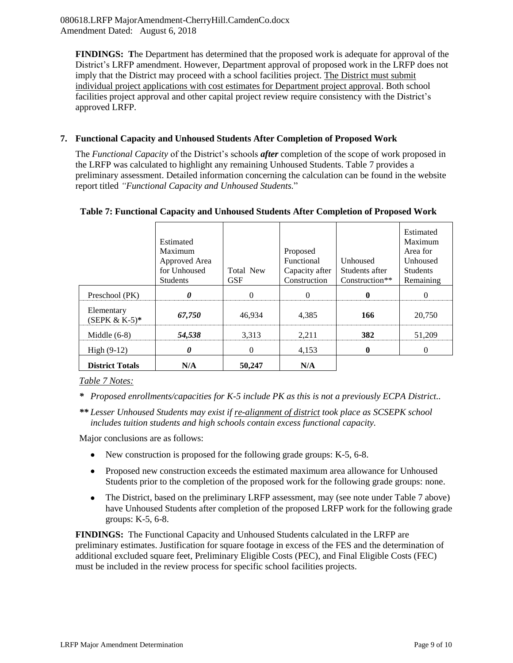**FINDINGS: T**he Department has determined that the proposed work is adequate for approval of the District's LRFP amendment. However, Department approval of proposed work in the LRFP does not imply that the District may proceed with a school facilities project. The District must submit individual project applications with cost estimates for Department project approval. Both school facilities project approval and other capital project review require consistency with the District's approved LRFP.

## **7. Functional Capacity and Unhoused Students After Completion of Proposed Work**

The *Functional Capacity* of the District's schools *after* completion of the scope of work proposed in the LRFP was calculated to highlight any remaining Unhoused Students. Table 7 provides a preliminary assessment. Detailed information concerning the calculation can be found in the website report titled *"Functional Capacity and Unhoused Students.*"

|                                | Estimated<br>Maximum<br>Approved Area<br>for Unhoused<br><b>Students</b> | <b>Total New</b><br><b>GSF</b> | Proposed<br><b>Functional</b><br>Capacity after<br>Construction | <b>Unhoused</b><br>Students after<br>Construction** | Estimated<br>Maximum<br>Area for<br><b>Unhoused</b><br><b>Students</b><br>Remaining |
|--------------------------------|--------------------------------------------------------------------------|--------------------------------|-----------------------------------------------------------------|-----------------------------------------------------|-------------------------------------------------------------------------------------|
| Preschool (PK)                 | 0                                                                        | $\Omega$                       |                                                                 |                                                     |                                                                                     |
| Elementary<br>$(SEPK & K-5)^*$ | 67,750                                                                   | 46,934                         | 4,385                                                           | 166                                                 | 20,750                                                                              |
| Middle $(6-8)$                 | 54,538                                                                   | 3,313                          | 2,211                                                           | 382                                                 | 51,209                                                                              |
| High $(9-12)$                  | 0                                                                        | 0                              | 4,153                                                           | 0                                                   | $\theta$                                                                            |
| <b>District Totals</b>         | N/A                                                                      | 50,247                         | N/A                                                             |                                                     |                                                                                     |

#### **Table 7: Functional Capacity and Unhoused Students After Completion of Proposed Work**

#### *Table 7 Notes:*

*\* Proposed enrollments/capacities for K-5 include PK as this is not a previously ECPA District..*

*\*\* Lesser Unhoused Students may exist if re-alignment of district took place as SCSEPK school includes tuition students and high schools contain excess functional capacity.* 

Major conclusions are as follows:

- New construction is proposed for the following grade groups: K-5, 6-8.
- Proposed new construction exceeds the estimated maximum area allowance for Unhoused Students prior to the completion of the proposed work for the following grade groups: none.
- The District, based on the preliminary LRFP assessment, may (see note under Table 7 above) have Unhoused Students after completion of the proposed LRFP work for the following grade groups: K-5, 6-8.

**FINDINGS:** The Functional Capacity and Unhoused Students calculated in the LRFP are preliminary estimates. Justification for square footage in excess of the FES and the determination of additional excluded square feet, Preliminary Eligible Costs (PEC), and Final Eligible Costs (FEC) must be included in the review process for specific school facilities projects.